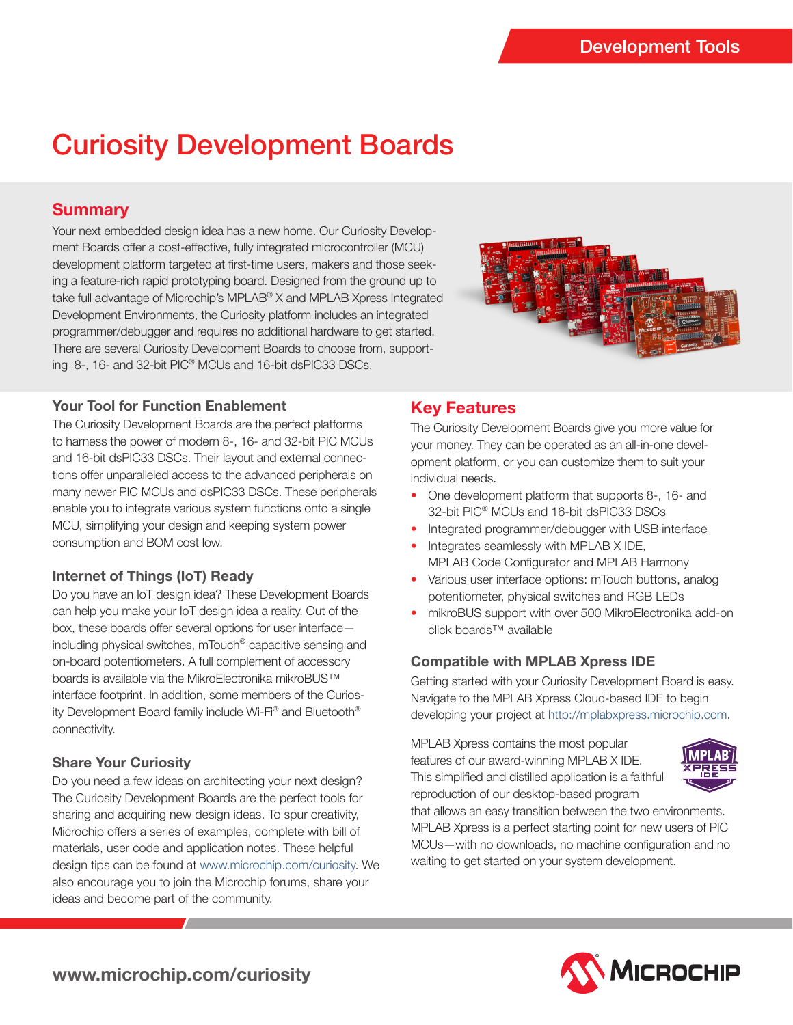# Curiosity Development Boards

# **Summary**

Your next embedded design idea has a new home. Our Curiosity Development Boards offer a cost-effective, fully integrated microcontroller (MCU) development platform targeted at first-time users, makers and those seeking a feature-rich rapid prototyping board. Designed from the ground up to take full advantage of Microchip's MPLAB® X and MPLAB Xpress Integrated Development Environments, the Curiosity platform includes an integrated programmer/debugger and requires no additional hardware to get started. There are several Curiosity Development Boards to choose from, supporting 8-, 16- and 32-bit PIC® MCUs and 16-bit dsPIC33 DSCs.



## **Your Tool for Function Enablement**

The Curiosity Development Boards are the perfect platforms to harness the power of modern 8-, 16- and 32-bit PIC MCUs and 16-bit dsPIC33 DSCs. Their layout and external connections offer unparalleled access to the advanced peripherals on many newer PIC MCUs and dsPIC33 DSCs. These peripherals enable you to integrate various system functions onto a single MCU, simplifying your design and keeping system power consumption and BOM cost low.

## **Internet of Things (IoT) Ready**

Do you have an IoT design idea? These Development Boards can help you make your IoT design idea a reality. Out of the box, these boards offer several options for user interface including physical switches, mTouch® capacitive sensing and on-board potentiometers. A full complement of accessory boards is available via the MikroElectronika mikroBUS™ interface footprint. In addition, some members of the Curiosity Development Board family include Wi-Fi® and Bluetooth® connectivity.

## **Share Your Curiosity**

Do you need a few ideas on architecting your next design? The Curiosity Development Boards are the perfect tools for sharing and acquiring new design ideas. To spur creativity, Microchip offers a series of examples, complete with bill of materials, user code and application notes. These helpful design tips can be found at www.microchip.com/curiosity. We also encourage you to join the Microchip forums, share your ideas and become part of the community.

# **Key Features**

The Curiosity Development Boards give you more value for your money. They can be operated as an all-in-one development platform, or you can customize them to suit your individual needs.

- One development platform that supports 8-, 16- and 32-bit PIC® MCUs and 16-bit dsPIC33 DSCs
- Integrated programmer/debugger with USB interface
- Integrates seamlessly with MPLAB X IDE, MPLAB Code Configurator and MPLAB Harmony
- Various user interface options: mTouch buttons, analog potentiometer, physical switches and RGB LEDs
- mikroBUS support with over 500 MikroElectronika add-on click boards™ available

## **Compatible with MPLAB Xpress IDE**

Getting started with your Curiosity Development Board is easy. Navigate to the MPLAB Xpress Cloud-based IDE to begin developing your project at http://mplabxpress.microchip.com.

MPLAB Xpress contains the most popular features of our award-winning MPLAB X IDE. This simplified and distilled application is a faithful reproduction of our desktop-based program



that allows an easy transition between the two environments. MPLAB Xpress is a perfect starting point for new users of PIC MCUs—with no downloads, no machine configuration and no waiting to get started on your system development.